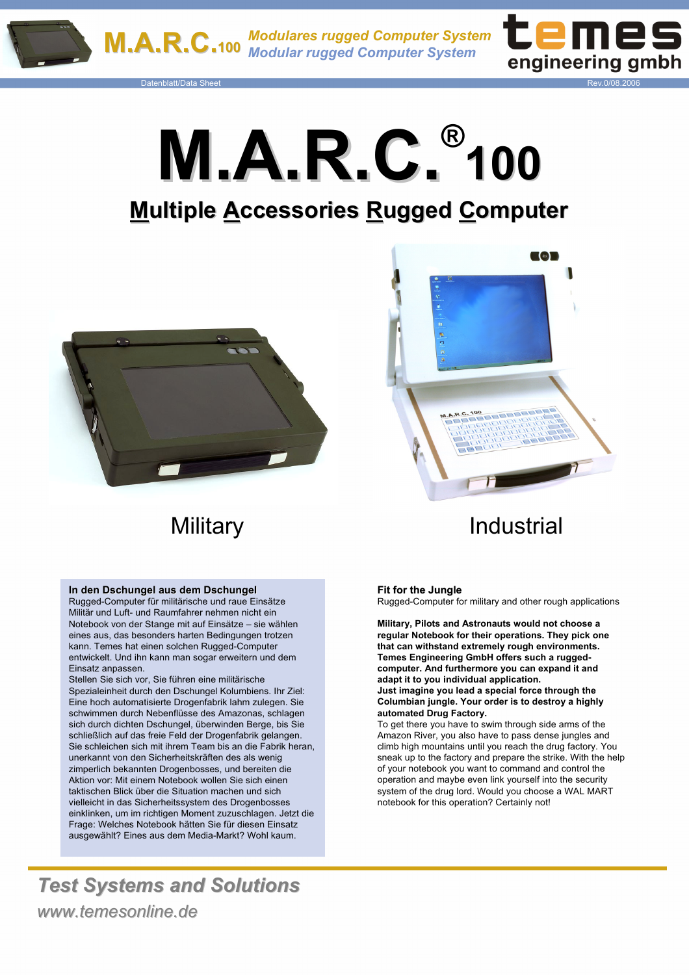

Datenblatt/Data Sheet Rev.0/08.2006



**M.A.R.C. M.A.R.C.® 100**

# **Multiple Accessories Rugged Computer**



#### **In den Dschungel aus dem Dschungel In den Dschungel aus dem Dschungel**

Rugged-Computer für militärische und raue Einsätze Militär und Luft- und Raumfahrer nehmen nicht ein Notebook von der Stange mit auf Einsätze – sie wählen eines aus, das besonders harten Bedingungen trotzen kann. Temes hat einen solchen Rugged-Computer entwickelt. Und ihn kann man sogar erweitern und dem Einsatz anpassen.

Stellen Sie sich vor, Sie führen eine militärische Spezialeinheit durch den Dschungel Kolumbiens. Ihr Ziel: Eine hoch automatisierte Drogenfabrik lahm zulegen. Sie schwimmen durch Nebenflüsse des Amazonas, schlagen sich durch dichten Dschungel, überwinden Berge, bis Sie schließlich auf das freie Feld der Drogenfabrik gelangen. Sie schleichen sich mit ihrem Team bis an die Fabrik heran, unerkannt von den Sicherheitskräften des als wenig zimperlich bekannten Drogenbosses, und bereiten die Aktion vor: Mit einem Notebook wollen Sie sich einen taktischen Blick über die Situation machen und sich vielleicht in das Sicherheitssystem des Drogenbosses einklinken, um im richtigen Moment zuzuschlagen. Jetzt die Frage: Welches Notebook hätten Sie für diesen Einsatz ausgewählt? Eines aus dem Media-Markt? Wohl kaum.

*Test Systems and Solutions* 



# Military **Industrial**

#### **Fit for the Jungle**

Rugged-Computer for military and other rough applications

**Military, Pilots and Astronauts would not choose a regular Notebook for their operations. They pick one that can withstand extremely rough environments. Temes Engineering GmbH offers such a ruggedcomputer. And furthermore you can expand it and adapt it to you individual application. Just imagine you lead a special force through the Columbian jungle. Your order is to destroy a highly automated Drug Factory.** 

To get there you have to swim through side arms of the Amazon River, you also have to pass dense jungles and climb high mountains until you reach the drug factory. You sneak up to the factory and prepare the strike. With the help of your notebook you want to command and control the operation and maybe even link yourself into the security system of the drug lord. Would you choose a WAL MART notebook for this operation? Certainly not!

*www.temesonline.de www.temesonline.de*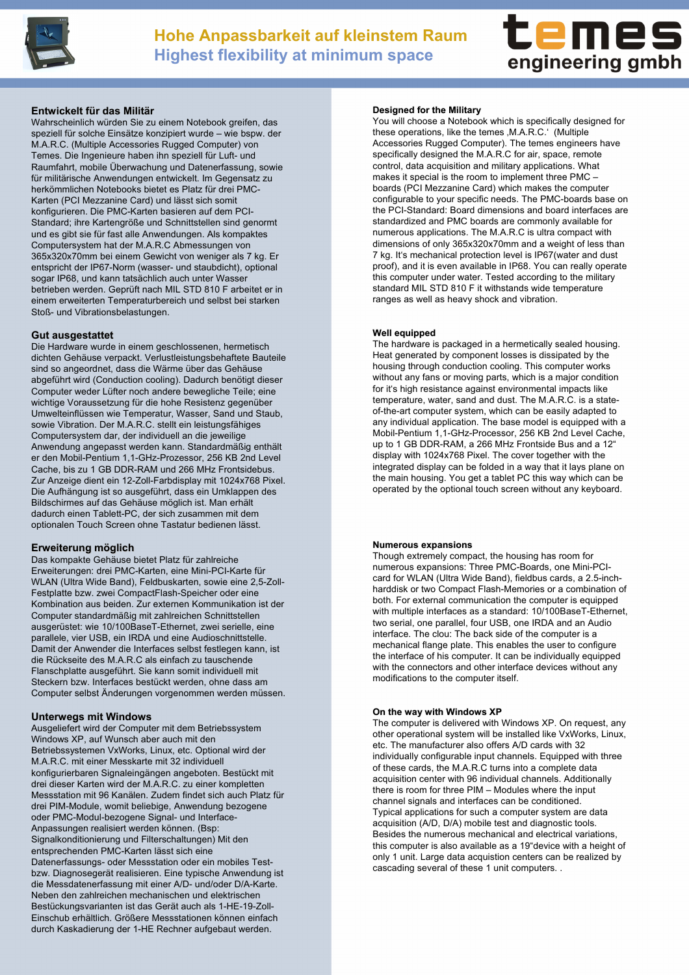



#### **Entwickelt f für das Milit r das Militär**

Wahrscheinlich würden Sie zu einem Notebook greifen, das speziell für solche Einsätze konzipiert wurde – wie bspw. der M.A.R.C. (Multiple Accessories Rugged Computer) von Temes. Die Ingenieure haben ihn speziell für Luft- und Raumfahrt, mobile Überwachung und Datenerfassung, sowie für militärische Anwendungen entwickelt. Im Gegensatz zu herkömmlichen Notebooks bietet es Platz für drei PMC-Karten (PCI Mezzanine Card) und lässt sich somit konfigurieren. Die PMC-Karten basieren auf dem PCI-Standard; ihre Kartengröße und Schnittstellen sind genormt und es gibt sie für fast alle Anwendungen. Als kompaktes Computersystem hat der M.A.R.C Abmessungen von 365x320x70mm bei einem Gewicht von weniger als 7 kg. Er entspricht der IP67-Norm (wasser- und staubdicht), optional sogar IP68, und kann tatsächlich auch unter Wasser betrieben werden. Geprüft nach MIL STD 810 F arbeitet er in einem erweiterten Temperaturbereich und selbst bei starken Stoß- und Vibrationsbelastungen.

#### **Gut ausgestattet Gut ausgestattet**

Die Hardware wurde in einem geschlossenen, hermetisch dichten Gehäuse verpackt. Verlustleistungsbehaftete Bauteile sind so angeordnet, dass die Wärme über das Gehäuse abgeführt wird (Conduction cooling). Dadurch benötigt dieser Computer weder Lüfter noch andere bewegliche Teile; eine wichtige Voraussetzung für die hohe Resistenz gegenüber Umwelteinflüssen wie Temperatur, Wasser, Sand und Staub, sowie Vibration. Der M.A.R.C. stellt ein leistungsfähiges Computersystem dar, der individuell an die jeweilige Anwendung angepasst werden kann. Standardmäßig enthält er den Mobil-Pentium 1,1-GHz-Prozessor, 256 KB 2nd Level Cache, bis zu 1 GB DDR-RAM und 266 MHz Frontsidebus. Zur Anzeige dient ein 12-Zoll-Farbdisplay mit 1024x768 Pixel. Die Aufhängung ist so ausgeführt, dass ein Umklappen des Bildschirmes auf das Gehäuse möglich ist. Man erhält dadurch einen Tablett-PC, der sich zusammen mit dem optionalen Touch Screen ohne Tastatur bedienen lässt.

#### **Erweiterung möglich**

Das kompakte Gehäuse bietet Platz für zahlreiche Erweiterungen: drei PMC-Karten, eine Mini-PCI-Karte für WLAN (Ultra Wide Band), Feldbuskarten, sowie eine 2,5-Zoll-Festplatte bzw. zwei CompactFlash-Speicher oder eine Kombination aus beiden. Zur externen Kommunikation ist der Computer standardmäßig mit zahlreichen Schnittstellen ausgerüstet: wie 10/100BaseT-Ethernet, zwei serielle, eine parallele, vier USB, ein IRDA und eine Audioschnittstelle. Damit der Anwender die Interfaces selbst festlegen kann, ist die Rückseite des M.A.R.C als einfach zu tauschende Flanschplatte ausgeführt. Sie kann somit individuell mit Steckern bzw. Interfaces bestückt werden, ohne dass am Computer selbst Änderungen vorgenommen werden müssen.

#### **Unterwegs mit Windows**

Ausgeliefert wird der Computer mit dem Betriebssystem Windows XP, auf Wunsch aber auch mit den Betriebssystemen VxWorks, Linux, etc. Optional wird der M.A.R.C. mit einer Messkarte mit 32 individuell konfigurierbaren Signaleingängen angeboten. Bestückt mit drei dieser Karten wird der M.A.R.C. zu einer kompletten Messstation mit 96 Kanälen. Zudem findet sich auch Platz für drei PIM-Module, womit beliebige, Anwendung bezogene oder PMC-Modul-bezogene Signal- und Interface-Anpassungen realisiert werden können. (Bsp: Signalkonditionierung und Filterschaltungen) Mit den entsprechenden PMC-Karten lässt sich eine Datenerfassungs- oder Messstation oder ein mobiles Testbzw. Diagnosegerät realisieren. Eine typische Anwendung ist die Messdatenerfassung mit einer A/D- und/oder D/A-Karte. Neben den zahlreichen mechanischen und elektrischen Bestückungsvarianten ist das Gerät auch als 1-HE-19-Zoll-Einschub erhältlich. Größere Messstationen können einfach durch Kaskadierung der 1-HE Rechner aufgebaut werden.

#### **Designed for the Military**

You will choose a Notebook which is specifically designed for these operations, like the temes , M.A.R.C.' (Multiple Accessories Rugged Computer). The temes engineers have specifically designed the M.A.R.C for air, space, remote control, data acquisition and military applications. What makes it special is the room to implement three PMC – boards (PCI Mezzanine Card) which makes the computer configurable to your specific needs. The PMC-boards base on the PCI-Standard: Board dimensions and board interfaces are standardized and PMC boards are commonly available for numerous applications. The M.A.R.C is ultra compact with dimensions of only 365x320x70mm and a weight of less than 7 kg. It's mechanical protection level is IP67(water and dust proof), and it is even available in IP68. You can really operate this computer under water. Tested according to the military standard MIL STD 810 F it withstands wide temperature ranges as well as heavy shock and vibration.

#### **Well equipped**

The hardware is packaged in a hermetically sealed housing. Heat generated by component losses is dissipated by the housing through conduction cooling. This computer works without any fans or moving parts, which is a major condition for it's high resistance against environmental impacts like temperature, water, sand and dust. The M.A.R.C. is a stateof-the-art computer system, which can be easily adapted to any individual application. The base model is equipped with a Mobil-Pentium 1,1-GHz-Processor, 256 KB 2nd Level Cache, up to 1 GB DDR-RAM, a 266 MHz Frontside Bus and a 12" display with 1024x768 Pixel. The cover together with the integrated display can be folded in a way that it lays plane on the main housing. You get a tablet PC this way which can be operated by the optional touch screen without any keyboard.

#### **Numerous expansions**

Though extremely compact, the housing has room for numerous expansions: Three PMC-Boards, one Mini-PCIcard for WLAN (Ultra Wide Band), fieldbus cards, a 2.5-inchharddisk or two Compact Flash-Memories or a combination of both. For external communication the computer is equipped with multiple interfaces as a standard: 10/100BaseT-Ethernet, two serial, one parallel, four USB, one IRDA and an Audio interface. The clou: The back side of the computer is a mechanical flange plate. This enables the user to configure the interface of his computer. It can be individually equipped with the connectors and other interface devices without any modifications to the computer itself.

#### **On the way with Windows XP**

The computer is delivered with Windows XP. On request, any other operational system will be installed like VxWorks, Linux, etc. The manufacturer also offers A/D cards with 32 individually configurable input channels. Equipped with three of these cards, the M.A.R.C turns into a complete data acquisition center with 96 individual channels. Additionally there is room for three PIM – Modules where the input channel signals and interfaces can be conditioned. Typical applications for such a computer system are data acquisition (A/D, D/A) mobile test and diagnostic tools. Besides the numerous mechanical and electrical variations, this computer is also available as a 19"device with a height of only 1 unit. Large data acquistion centers can be realized by cascading several of these 1 unit computers. .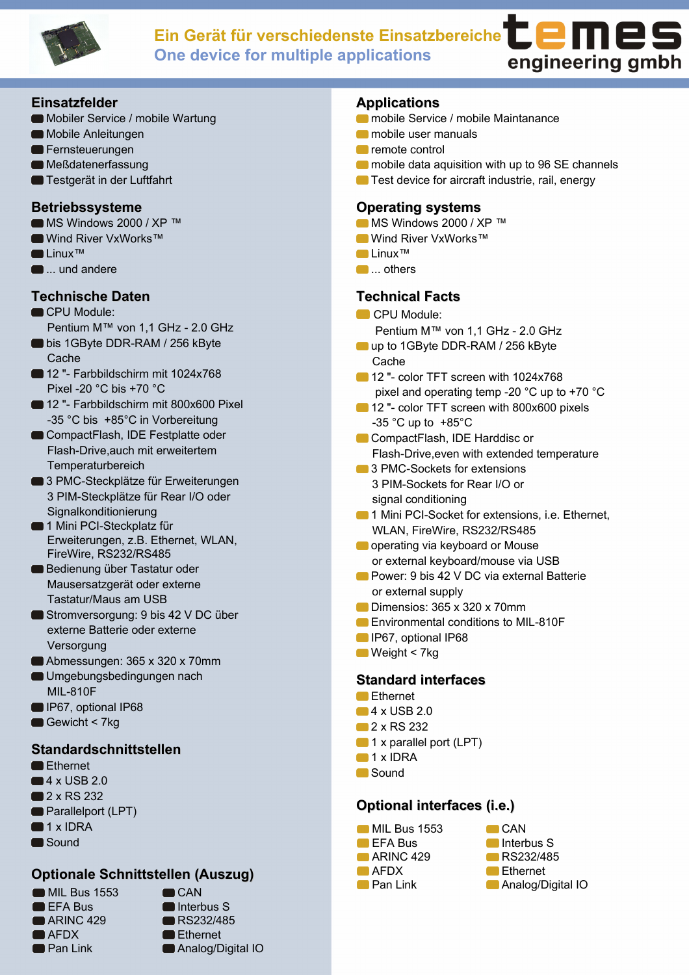

# **Ein Gerät für verschiedenste Einsatzbereiche One device for multiple applications**



### **Einsatzfelder Einsatzfelder**

- Mobiler Service / mobile Wartung
- Mobile Anleitungen
- **E** Fernsteuerungen
- **Meßdatenerfassung**
- **Testgerät in der Luftfahrt**

## **Betriebssysteme**

- MS Windows 2000 / XP ™
- Wind River VxWorks™
- Linux™
- $\blacksquare$  ... und andere

# **Technische Daten**

- CPU Module:
- Pentium M™ von 1,1 GHz 2.0 GHz
- bis 1GByte DDR-RAM / 256 kByte **Cache**
- 12 "- Farbbildschirm mit 1024x768 Pixel -20 °C bis +70 °C
- 12 "- Farbbildschirm mit 800x600 Pixel -35 °C bis +85°C in Vorbereitung
- CompactFlash, IDE Festplatte oder Flash-Drive,auch mit erweitertem **Temperaturbereich**
- 3 PMC-Steckplätze für Erweiterungen 3 PIM-Steckplätze für Rear I/O oder Signalkonditionierung
- **1 Mini PCI-Steckplatz für** Erweiterungen, z.B. Ethernet, WLAN, FireWire, RS232/RS485
- Bedienung über Tastatur oder Mausersatzgerät oder externe Tastatur/Maus am USB
- Stromversorgung: 9 bis 42 V DC über externe Batterie oder externe Versorgung
- Abmessungen: 365 x 320 x 70mm
- Umgebungsbedingungen nach MIL-810F
- IP67, optional IP68
- Gewicht < 7kg

## **Standardschnittstellen**

- Ethernet
- $\blacksquare$  4 x USB 2.0
- **2** x RS 232
- **Parallelport (LPT)**
- $\blacksquare$  1 x IDRA
- Sound

# **Optionale Schnittstellen (Auszug) (Auszug)**

**MIL Bus 1553** EFA Bus ARINC 429 **AFDX Pan Link** 

 $CAN$ Interbus S RS232/485 **Ethernet** Analog/Digital IO

## **Applications**

- **Comobile Service / mobile Maintanance**
- mobile user manuals
- **C** remote control
- **mobile data aquisition with up to 96 SE channels**
- **Test device for aircraft industrie, rail, energy**

## **Operating systems**

- MS Windows 2000 / XP ™
- Wind River VxWorks™
- Linux™
- **O**... others

# **Technical Facts**

- CPU Module:
- Pentium M™ von 1,1 GHz 2.0 GHz ■ up to 1GByte DDR-RAM / 256 kByte
	- **Cache**
- 12 "- color TFT screen with 1024x768 pixel and operating temp -20 °C up to +70 °C
- 12 "- color TFT screen with 800x600 pixels  $-35$  °C up to  $+85$ °C
- CompactFlash, IDE Harddisc or Flash-Drive,even with extended temperature
- **3 PMC-Sockets for extensions** 3 PIM-Sockets for Rear I/O or signal conditioning
- **1 Mini PCI-Socket for extensions, i.e. Ethernet,** WLAN, FireWire, RS232/RS485
- **O** operating via keyboard or Mouse or external keyboard/mouse via USB
- **Power: 9 bis 42 V DC via external Batterie** or external supply
- Dimensios: 365 x 320 x 70mm
- **Environmental conditions to MIL-810F**
- **IP67, optional IP68**
- $\blacksquare$  Weight < 7kg

## **Standard interfaces**

- **Ethernet**
- $-4 \times$  USB 2.0
- 2 x RS 232
- 1 x parallel port (LPT)
- 1 x IDRA
- **Sound**

# **Optional interfaces (i.e.)**



 $CAN$ Interbus S RS232/485 **Ethernet Analog/Digital IO**